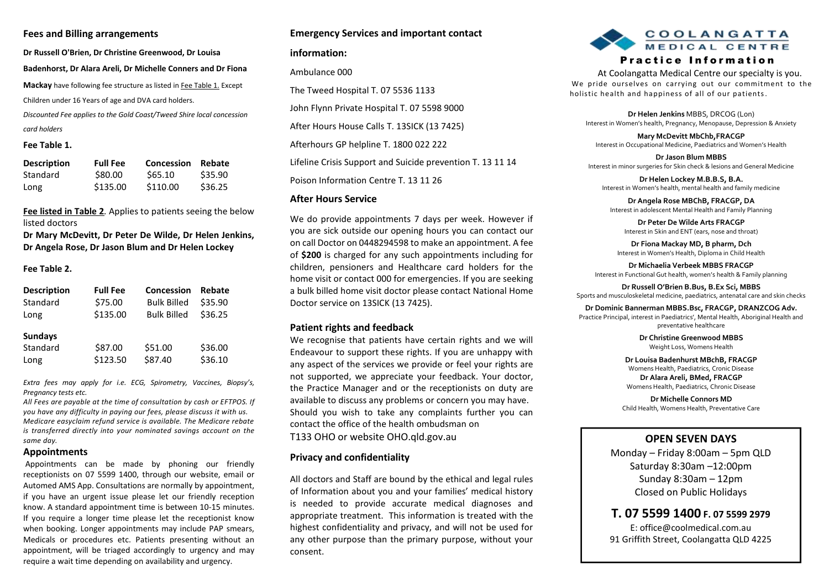### **Fees and Billing arrangements**

**Dr Russell O'Brien, Dr Christine Greenwood, Dr Louisa Badenhorst, Dr Alara Areli, Dr Michelle Conners and Dr Fiona Mackay** have following fee structure as listed in Fee Table 1. Except Children under 16 Years of age and DVA card holders. *Discounted Fee applies to the Gold Coast/Tweed Shire local concession card holders*

## **Fee Table 1.**

| <b>Description</b> | <b>Full Fee</b> | <b>Concession</b> | Rebate  |
|--------------------|-----------------|-------------------|---------|
| Standard           | \$80.00         | \$65.10           | \$35.90 |
| Long               | \$135.00        | \$110.00          | \$36.25 |

### **Fee listed in Table 2***.* Applies to patients seeing the below listed doctors

**Dr Mary McDevitt, Dr Peter De Wilde, Dr Helen Jenkins, Dr Angela Rose, Dr Jason Blum and Dr Helen Lockey**

#### **Fee Table 2.**

| <b>Description</b>                 | <b>Full Fee</b>     | <b>Concession</b>  | Rebate             |
|------------------------------------|---------------------|--------------------|--------------------|
| Standard                           | \$75.00             | <b>Bulk Billed</b> | \$35.90            |
| Long                               | \$135.00            | <b>Bulk Billed</b> | \$36.25            |
| <b>Sundays</b><br>Standard<br>Long | \$87.00<br>\$123.50 | \$51.00<br>\$87.40 | \$36.00<br>\$36.10 |

*Extra fees may apply for i.e. ECG, Spirometry, Vaccines, Biopsy's, Pregnancy tests etc.*

*All Fees are payable at the time of consultation by cash or EFTPOS. If you have any difficulty in paying our fees, please discuss it with us. Medicare easyclaim refund service is available. The Medicare rebate is transferred directly into your nominated savings account on the same day.*

#### **Appointments**

Appointments can be made by phoning our friendly receptionists on 07 5599 1400, through our website, email or Automed AMS App. Consultations are normally by appointment, if you have an urgent issue please let our friendly reception know. A standard appointment time is between 10-15 minutes. If you require a longer time please let the receptionist know when booking. Longer appointments may include PAP smears, Medicals or procedures etc. Patients presenting without an appointment, will be triaged accordingly to urgency and may require a wait time depending on availability and urgency.

### **Emergency Services and important contact**

#### **information:**

Ambulance 000

The Tweed Hospital T. 07 5536 1133

John Flynn Private Hospital T. 07 5598 9000

After Hours House Calls T. 13SICK (13 7425)

Afterhours GP helpline T. 1800 022 222

Lifeline Crisis Support and Suicide prevention T. 13 11 14

Poison Information Centre T. 13 11 26

#### **After Hours Service**

We do provide appointments 7 days per week. However if you are sick outside our opening hours you can contact our on call Doctor on 0448294598 to make an appointment. A fee of **\$200** is charged for any such appointments including for children, pensioners and Healthcare card holders for the home visit or contact 000 for emergencies. If you are seeking a bulk billed home visit doctor please contact National Home Doctor service on 13SICK (13 7425).

#### **Patient rights and feedback**

We recognise that patients have certain rights and we will Endeavour to support these rights. If you are unhappy with any aspect of the services we provide or feel your rights are not supported, we appreciate your feedback. Your doctor, the Practice Manager and or the receptionists on duty are available to discuss any problems or concern you may have. Should you wish to take any complaints further you can contact the office of the health ombudsman on

T133 OHO or website OHO.qld.gov.au

#### **Privacy and confidentiality**

All doctors and Staff are bound by the ethical and legal rules of Information about you and your families' medical history is needed to provide accurate medical diagnoses and appropriate treatment. This information is treated with the highest confidentiality and privacy, and will not be used for any other purpose than the primary purpose, without your consent.



## Practice Information

 At Coolangatta Medical Centre our specialty is you. We pride ourselves on carrying out our commitment to the holistic health and happiness of all of our patients.

**Dr Helen Jenkins** MBBS, DRCOG (Lon) Interest in Women's health, Pregnancy, Menopause, Depression & Anxiety

**Mary McDevitt MbChb,FRACGP** Interest in Occupational Medicine, Paediatrics and Women's Health

**Dr Jason Blum MBBS** Interest in minor surgeries for Skin check & lesions and General Medicine

**Dr Helen Lockey M.B.B.S, B.A.** Interest in Women's health, mental health and family medicine

**Dr Angela Rose MBChB, FRACGP, DA** Interest in adolescent Mental Health and Family Planning

**Dr Peter De Wilde Arts FRACGP** Interest in Skin and ENT (ears, nose and throat)

**Dr Fiona Mackay MD, B pharm, Dch** Interest in Women's Health, Diploma in Child Health

**Dr Michaelia Verbeek MBBS FRACGP** Interest in Functional Gut health, women's health & Family planning

**Dr Russell O'Brien B.Bus, B.Ex Sci, MBBS** Sports and musculoskeletal medicine, paediatrics, antenatal care and skin checks

**Dr Dominic Bannerman MBBS.Bsc, FRACGP, DRANZCOG Adv.**

Practice Principal, interest in Paediatrics', Mental Health, Aboriginal Health and preventative healthcare

> **Dr Christine Greenwood MBBS** Weight Loss, Womens Health

**Dr Louisa Badenhurst MBchB, FRACGP** Womens Health, Paediatrics, Cronic Disease **Dr Alara Areli, BMed, FRACGP** Womens Health, Paediatrics, Chronic Disease

**Dr Michelle Connors MD** Child Health, Womens Health, Preventative Care

# **OPEN SEVEN DAYS**

Monday – Friday 8:00am – 5pm QLD Saturday 8:30am –12:00pm Sunday 8:30am – 12pm Closed on Public Holidays

# **T. 07 5599 1400 F. 07 5599 2979**

E: office@coolmedical.com.au 91 Griffith Street, Coolangatta QLD 4225